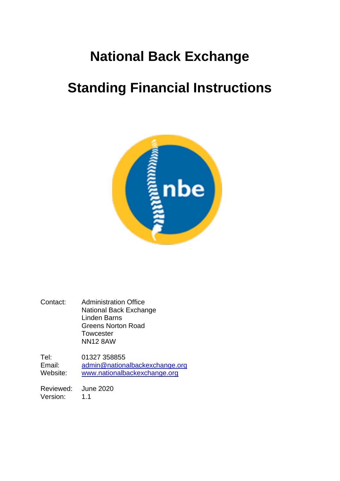## **National Back Exchange**

# **Standing Financial Instructions**



Contact: Administration Office National Back Exchange Linden Barns Greens Norton Road **Towcester** NN12 8AW

Tel: 01327 358855 Email: [admin@nationalbackexchange.org](mailto:admin@nationalbackexchange.org)<br>
Website: www.nationalbackexchange.org [www.nationalbackexchange.org](http://www.nationalbackexchange.org/)

Reviewed: June 2020 Version: 1.1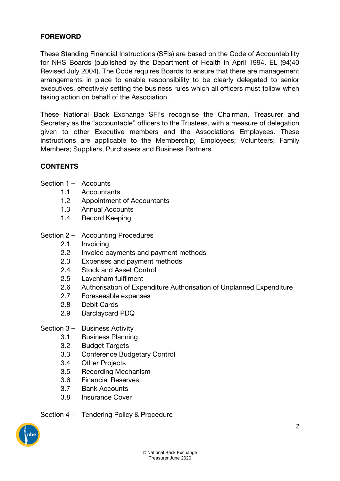#### **FOREWORD**

These Standing Financial Instructions (SFIs) are based on the Code of Accountability for NHS Boards (published by the Department of Health in April 1994, EL (94)40 Revised July 2004). The Code requires Boards to ensure that there are management arrangements in place to enable responsibility to be clearly delegated to senior executives, effectively setting the business rules which all officers must follow when taking action on behalf of the Association.

These National Back Exchange SFI's recognise the Chairman, Treasurer and Secretary as the "accountable" officers to the Trustees, with a measure of delegation given to other Executive members and the Associations Employees. These instructions are applicable to the Membership; Employees; Volunteers; Family Members; Suppliers, Purchasers and Business Partners.

#### **CONTENTS**

- Section 1 Accounts
	- 1.1 Accountants
	- 1.2 Appointment of Accountants
	- 1.3 Annual Accounts
	- 1.4 Record Keeping
- Section 2 Accounting Procedures
	- 2.1 Invoicing
	- 2.2 Invoice payments and payment methods
	- 2.3 Expenses and payment methods
	- 2.4 Stock and Asset Control
	- 2.5 Lavenham fulfilment
	- 2.6 Authorisation of Expenditure Authorisation of Unplanned Expenditure
	- 2.7 Foreseeable expenses
	- 2.8 Debit Cards
	- 2.9 Barclaycard PDQ
- Section 3 Business Activity
	- 3.1 Business Planning
	- 3.2 Budget Targets
	- 3.3 Conference Budgetary Control
	- 3.4 Other Projects
	- 3.5 Recording Mechanism
	- 3.6 Financial Reserves
	- 3.7 Bank Accounts
	- 3.8 Insurance Cover
- Section 4 Tendering Policy & Procedure

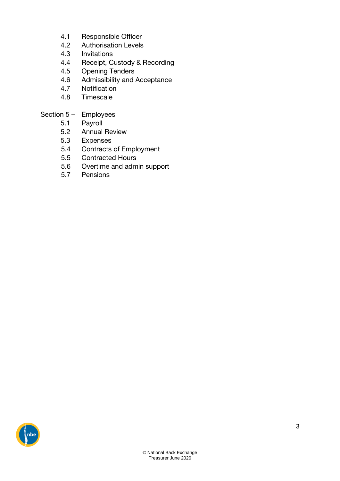- 4.1 Responsible Officer
- 4.2 Authorisation Levels
- 4.3 Invitations
- 4.4 Receipt, Custody & Recording
- 4.5 Opening Tenders
- 4.6 Admissibility and Acceptance
- 4.7 Notification
- 4.8 Timescale

### Section 5 – Employees

- 5.1 Payroll
- 5.2 Annual Review
- 5.3 Expenses
- 5.4 Contracts of Employment
- 5.5 Contracted Hours
- 5.6 Overtime and admin support
- 5.7 Pensions

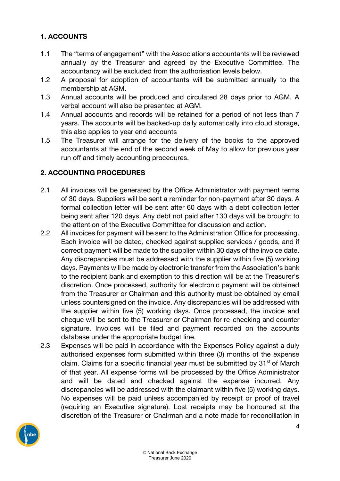#### **1. ACCOUNTS**

- 1.1 The "terms of engagement" with the Associations accountants will be reviewed annually by the Treasurer and agreed by the Executive Committee. The accountancy will be excluded from the authorisation levels below.
- 1.2 A proposal for adoption of accountants will be submitted annually to the membership at AGM.
- 1.3 Annual accounts will be produced and circulated 28 days prior to AGM. A verbal account will also be presented at AGM.
- 1.4 Annual accounts and records will be retained for a period of not less than 7 years. The accounts will be backed-up daily automatically into cloud storage, this also applies to year end accounts
- 1.5 The Treasurer will arrange for the delivery of the books to the approved accountants at the end of the second week of May to allow for previous year run off and timely accounting procedures.

### **2. ACCOUNTING PROCEDURES**

- 2.1 All invoices will be generated by the Office Administrator with payment terms of 30 days. Suppliers will be sent a reminder for non-payment after 30 days. A formal collection letter will be sent after 60 days with a debt collection letter being sent after 120 days. Any debt not paid after 130 days will be brought to the attention of the Executive Committee for discussion and action.
- 2.2 All invoices for payment will be sent to the Administration Office for processing. Each invoice will be dated, checked against supplied services / goods, and if correct payment will be made to the supplier within 30 days of the invoice date. Any discrepancies must be addressed with the supplier within five (5) working days. Payments will be made by electronic transfer from the Association's bank to the recipient bank and exemption to this direction will be at the Treasurer's discretion. Once processed, authority for electronic payment will be obtained from the Treasurer or Chairman and this authority must be obtained by email unless countersigned on the invoice. Any discrepancies will be addressed with the supplier within five (5) working days. Once processed, the invoice and cheque will be sent to the Treasurer or Chairman for re-checking and counter signature. Invoices will be filed and payment recorded on the accounts database under the appropriate budget line.
- 2.3 Expenses will be paid in accordance with the Expenses Policy against a duly authorised expenses form submitted within three (3) months of the expense claim. Claims for a specific financial year must be submitted by  $31<sup>st</sup>$  of March of that year. All expense forms will be processed by the Office Administrator and will be dated and checked against the expense incurred. Any discrepancies will be addressed with the claimant within five (5) working days. No expenses will be paid unless accompanied by receipt or proof of travel (requiring an Executive signature). Lost receipts may be honoured at the discretion of the Treasurer or Chairman and a note made for reconciliation in

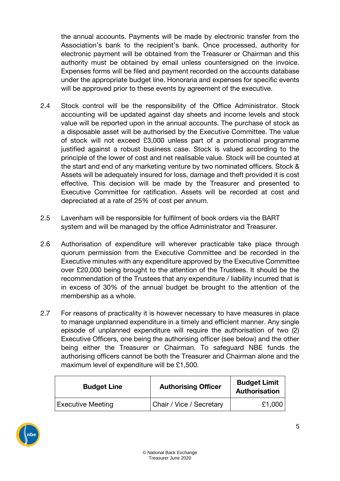the annual accounts. Payments will be made by electronic transfer from the Association's bank to the recipient's bank. Once processed, authority for electronic payment will be obtained from the Treasurer or Chairman and this authority must be obtained by email unless countersigned on the invoice. Expenses forms will be filed and payment recorded on the accounts database under the appropriate budget line. Honoraria and expenses for specific events will be approved prior to these events by agreement of the executive.

- 2.4 Stock control will be the responsibility of the Office Administrator. Stock accounting will be updated against day sheets and income levels and stock value will be reported upon in the annual accounts. The purchase of stock as a disposable asset will be authorised by the Executive Committee. The value of stock will not exceed £3,000 unless part of a promotional programme justified against a robust business case. Stock is valued according to the principle of the lower of cost and net realisable value. Stock will be counted at the start and end of any marketing venture by two nominated officers. Stock & Assets will be adequately insured for loss, damage and theft provided it is cost effective. This decision will be made by the Treasurer and presented to Executive Committee for ratification. Assets will be recorded at cost and depreciated at a rate of 25% of cost per annum.
- 2.5 Lavenham will be responsible for fulfilment of book orders via the BART system and will be managed by the office Administrator and Treasurer.
- 2.6 Authorisation of expenditure will wherever practicable take place through quorum permission from the Executive Committee and be recorded in the Executive minutes with any expenditure approved by the Executive Committee over £20,000 being brought to the attention of the Trustees. It should be the recommendation of the Trustees that any expenditure / liability incurred that is in excess of 30% of the annual budget be brought to the attention of the membership as a whole.
- 2.7 For reasons of practicality it is however necessary to have measures in place to manage unplanned expenditure in a timely and efficient manner. Any single episode of unplanned expenditure will require the authorisation of two (2) Executive Officers, one being the authorising officer (see below) and the other being either the Treasurer or Chairman. To safeguard NBE funds the authorising officers cannot be both the Treasurer and Chairman alone and the maximum level of expenditure will be £1,500.

| <b>Budget Line</b>       | <b>Authorising Officer</b> | <b>Budget Limit</b><br>Authorisation |  |
|--------------------------|----------------------------|--------------------------------------|--|
| <b>Executive Meeting</b> | Chair / Vice / Secretary   | £1,000                               |  |

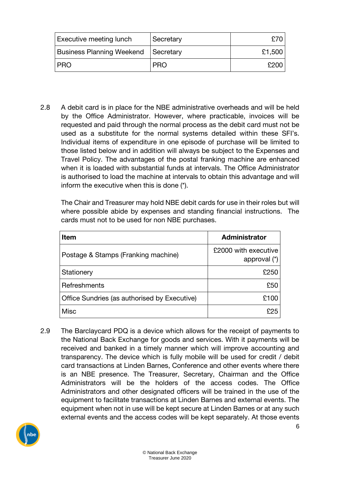| <b>Executive meeting lunch</b>        | Secretary  | £70 l  |
|---------------------------------------|------------|--------|
| Business Planning Weekend   Secretary |            | £1,500 |
| l PRO                                 | <b>PRO</b> | £200   |

2.8 A debit card is in place for the NBE administrative overheads and will be held by the Office Administrator. However, where practicable, invoices will be requested and paid through the normal process as the debit card must not be used as a substitute for the normal systems detailed within these SFI's. Individual items of expenditure in one episode of purchase will be limited to those listed below and in addition will always be subject to the Expenses and Travel Policy. The advantages of the postal franking machine are enhanced when it is loaded with substantial funds at intervals. The Office Administrator is authorised to load the machine at intervals to obtain this advantage and will inform the executive when this is done (\*).

The Chair and Treasurer may hold NBE debit cards for use in their roles but will where possible abide by expenses and standing financial instructions. The cards must not to be used for non NBE purchases.

| Item                                         | <b>Administrator</b>                   |  |
|----------------------------------------------|----------------------------------------|--|
| Postage & Stamps (Franking machine)          | £2000 with executive<br>approval $(*)$ |  |
| Stationery                                   | £250                                   |  |
| Refreshments                                 | £50                                    |  |
| Office Sundries (as authorised by Executive) | £100                                   |  |
| <b>Misc</b>                                  | 825                                    |  |

2.9 The Barclaycard PDQ is a device which allows for the receipt of payments to the National Back Exchange for goods and services. With it payments will be received and banked in a timely manner which will improve accounting and transparency. The device which is fully mobile will be used for credit / debit card transactions at Linden Barnes, Conference and other events where there is an NBE presence. The Treasurer, Secretary, Chairman and the Office Administrators will be the holders of the access codes. The Office Administrators and other designated officers will be trained in the use of the equipment to facilitate transactions at Linden Barnes and external events. The equipment when not in use will be kept secure at Linden Barnes or at any such external events and the access codes will be kept separately. At those events

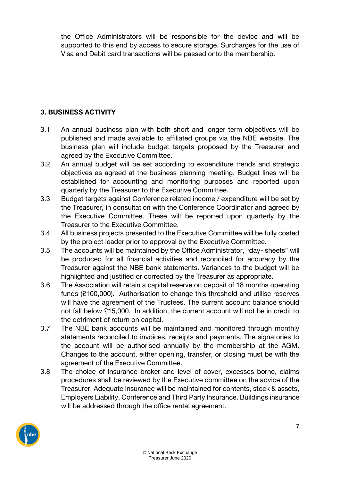the Office Administrators will be responsible for the device and will be supported to this end by access to secure storage. Surcharges for the use of Visa and Debit card transactions will be passed onto the membership.

### **3. BUSINESS ACTIVITY**

- 3.1 An annual business plan with both short and longer term objectives will be published and made available to affiliated groups via the NBE website. The business plan will include budget targets proposed by the Treasurer and agreed by the Executive Committee.
- 3.2 An annual budget will be set according to expenditure trends and strategic objectives as agreed at the business planning meeting. Budget lines will be established for accounting and monitoring purposes and reported upon quarterly by the Treasurer to the Executive Committee.
- 3.3 Budget targets against Conference related income / expenditure will be set by the Treasurer, in consultation with the Conference Coordinator and agreed by the Executive Committee. These will be reported upon quarterly by the Treasurer to the Executive Committee.
- 3.4 All business projects presented to the Executive Committee will be fully costed by the project leader prior to approval by the Executive Committee.
- 3.5 The accounts will be maintained by the Office Administrator, "day- sheets" will be produced for all financial activities and reconciled for accuracy by the Treasurer against the NBE bank statements. Variances to the budget will be highlighted and justified or corrected by the Treasurer as appropriate.
- 3.6 The Association will retain a capital reserve on deposit of 18 months operating funds (£100,000). Authorisation to change this threshold and utilise reserves will have the agreement of the Trustees. The current account balance should not fall below £15,000. In addition, the current account will not be in credit to the detriment of return on capital.
- 3.7 The NBE bank accounts will be maintained and monitored through monthly statements reconciled to invoices, receipts and payments. The signatories to the account will be authorised annually by the membership at the AGM. Changes to the account, either opening, transfer, or closing must be with the agreement of the Executive Committee.
- 3.8 The choice of insurance broker and level of cover, excesses borne, claims procedures shall be reviewed by the Executive committee on the advice of the Treasurer. Adequate insurance will be maintained for contents, stock & assets, Employers Liability, Conference and Third Party Insurance. Buildings insurance will be addressed through the office rental agreement.

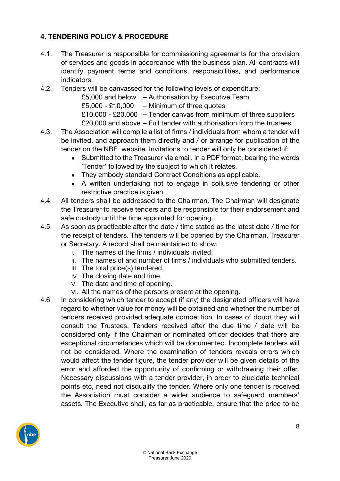### **4. TENDERING POLICY & PROCEDURE**

- 4.1. The Treasurer is responsible for commissioning agreements for the provision of services and goods in accordance with the business plan. All contracts will identify payment terms and conditions, responsibilities, and performance indicators.
- 4.2. Tenders will be canvassed for the following levels of expenditure:
	- £5,000 and below Authorisation by Executive Team
		- $£5,000 £10,000 Minimum of three quotes$
		- £10,000 £20,000 Tender canvas from minimum of three suppliers £20,000 and above – Full tender with authorisation from the trustees
- 4.3. The Association will compile a list of firms / individuals from whom a tender will be invited, and approach them directly and / or arrange for publication of the tender on the NBE website. Invitations to tender will only be considered if:
	- Submitted to the Treasurer via email, in a PDF format, bearing the words `Tender' followed by the subject to which it relates.
	- They embody standard Contract Conditions as applicable.
	- A written undertaking not to engage in collusive tendering or other restrictive practice is given.
- 4.4 All tenders shall be addressed to the Chairman. The Chairman will designate the Treasurer to receive tenders and be responsible for their endorsement and safe custody until the time appointed for opening.
- 4.5 As soon as practicable after the date / time stated as the latest date / time for the receipt of tenders. The tenders will be opened by the Chairman, Treasurer or Secretary. A record shall be maintained to show:
	- I. The names of the firms / individuals invited.
	- II. The names of and number of firms / individuals who submitted tenders.
	- III. The total price(s) tendered.
	- IV. The closing date and time.
	- V. The date and time of opening.
	- VI. All the names of the persons present at the opening.
- 4.6 In considering which tender to accept (if any) the designated officers will have regard to whether value for money will be obtained and whether the number of tenders received provided adequate competition. In cases of doubt they will consult the Trustees. Tenders received after the due time / date will be considered only if the Chairman or nominated officer decides that there are exceptional circumstances which will be documented. Incomplete tenders will not be considered. Where the examination of tenders reveals errors which would affect the tender figure, the tender provider will be given details of the error and afforded the opportunity of confirming or withdrawing their offer. Necessary discussions with a tender provider, in order to elucidate technical points etc, need not disqualify the tender. Where only one tender is received the Association must consider a wider audience to safeguard members' assets. The Executive shall, as far as practicable, ensure that the price to be

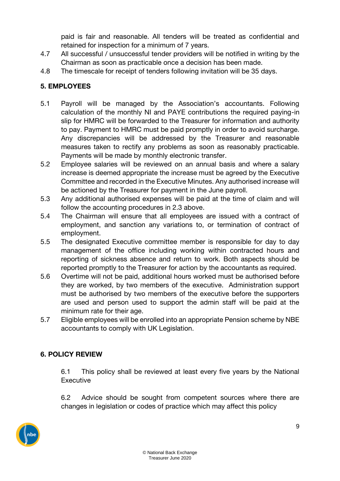paid is fair and reasonable. All tenders will be treated as confidential and retained for inspection for a minimum of 7 years.

- 4.7 All successful / unsuccessful tender providers will be notified in writing by the Chairman as soon as practicable once a decision has been made.
- 4.8 The timescale for receipt of tenders following invitation will be 35 days.

## **5. EMPLOYEES**

- 5.1 Payroll will be managed by the Association's accountants. Following calculation of the monthly NI and PAYE contributions the required paying-in slip for HMRC will be forwarded to the Treasurer for information and authority to pay. Payment to HMRC must be paid promptly in order to avoid surcharge. Any discrepancies will be addressed by the Treasurer and reasonable measures taken to rectify any problems as soon as reasonably practicable. Payments will be made by monthly electronic transfer.
- 5.2 Employee salaries will be reviewed on an annual basis and where a salary increase is deemed appropriate the increase must be agreed by the Executive Committee and recorded in the Executive Minutes. Any authorised increase will be actioned by the Treasurer for payment in the June payroll.
- 5.3 Any additional authorised expenses will be paid at the time of claim and will follow the accounting procedures in 2.3 above.
- 5.4 The Chairman will ensure that all employees are issued with a contract of employment, and sanction any variations to, or termination of contract of employment.
- 5.5 The designated Executive committee member is responsible for day to day management of the office including working within contracted hours and reporting of sickness absence and return to work. Both aspects should be reported promptly to the Treasurer for action by the accountants as required.
- 5.6 Overtime will not be paid, additional hours worked must be authorised before they are worked, by two members of the executive. Administration support must be authorised by two members of the executive before the supporters are used and person used to support the admin staff will be paid at the minimum rate for their age.
- 5.7 Eligible employees will be enrolled into an appropriate Pension scheme by NBE accountants to comply with UK Legislation.

## **6. POLICY REVIEW**

6.1 This policy shall be reviewed at least every five years by the National **Executive** 

6.2 Advice should be sought from competent sources where there are changes in legislation or codes of practice which may affect this policy